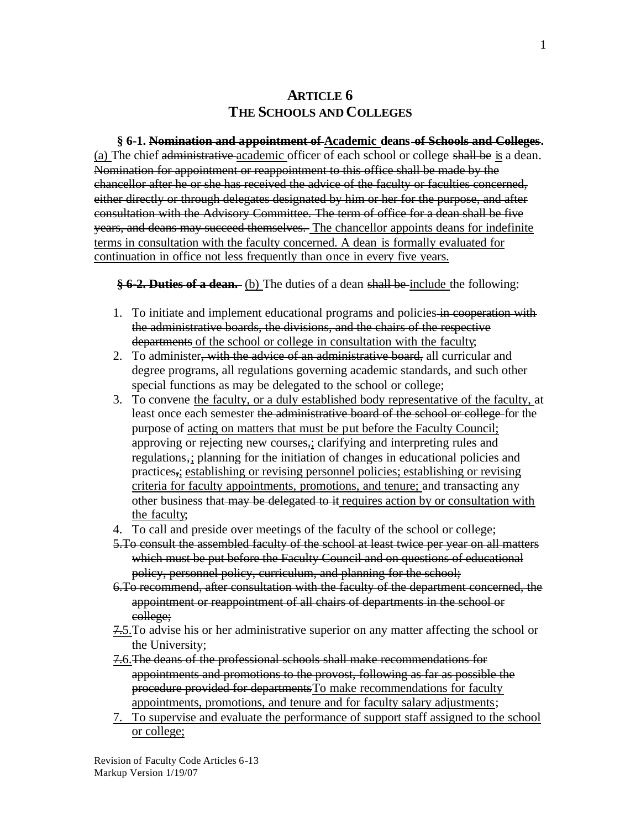### **ARTICLE 6 THE SCHOOLS AND COLLEGES**

#### **§ 6-1. Nomination and appointment of Academic deans of Schools and Colleges.**

(a) The chief administrative academic officer of each school or college shall be is a dean. Nomination for appointment or reappointment to this office shall be made by the chancellor after he or she has received the advice of the faculty or faculties concerned, either directly or through delegates designated by him or her for the purpose, and after consultation with the Advisory Committee. The term of office for a dean shall be five years, and deans may succeed themselves. The chancellor appoints deans for indefinite terms in consultation with the faculty concerned. A dean is formally evaluated for continuation in office not less frequently than once in every five years.

**§ 6-2. Duties of a dean.** (b) The duties of a dean shall be include the following:

- 1. To initiate and implement educational programs and policies in cooperation with the administrative boards, the divisions, and the chairs of the respective departments of the school or college in consultation with the faculty;
- 2. To administer, with the advice of an administrative board, all curricular and degree programs, all regulations governing academic standards, and such other special functions as may be delegated to the school or college;
- 3. To convene the faculty, or a duly established body representative of the faculty, at least once each semester the administrative board of the school or college for the purpose of acting on matters that must be put before the Faculty Council; approving or rejecting new courses,; clarifying and interpreting rules and regulations,; planning for the initiation of changes in educational policies and practices,; establishing or revising personnel policies; establishing or revising criteria for faculty appointments, promotions, and tenure; and transacting any other business that may be delegated to it requires action by or consultation with the faculty;
- 4. To call and preside over meetings of the faculty of the school or college;
- 5.To consult the assembled faculty of the school at least twice per year on all matters which must be put before the Faculty Council and on questions of educational policy, personnel policy, curriculum, and planning for the school;
- 6.To recommend, after consultation with the faculty of the department concerned, the appointment or reappointment of all chairs of departments in the school or college;
- 7.5.To advise his or her administrative superior on any matter affecting the school or the University;
- 7.6.The deans of the professional schools shall make recommendations for appointments and promotions to the provost, following as far as possible the procedure provided for departmentsTo make recommendations for faculty appointments, promotions, and tenure and for faculty salary adjustments;
- 7. To supervise and evaluate the performance of support staff assigned to the school or college;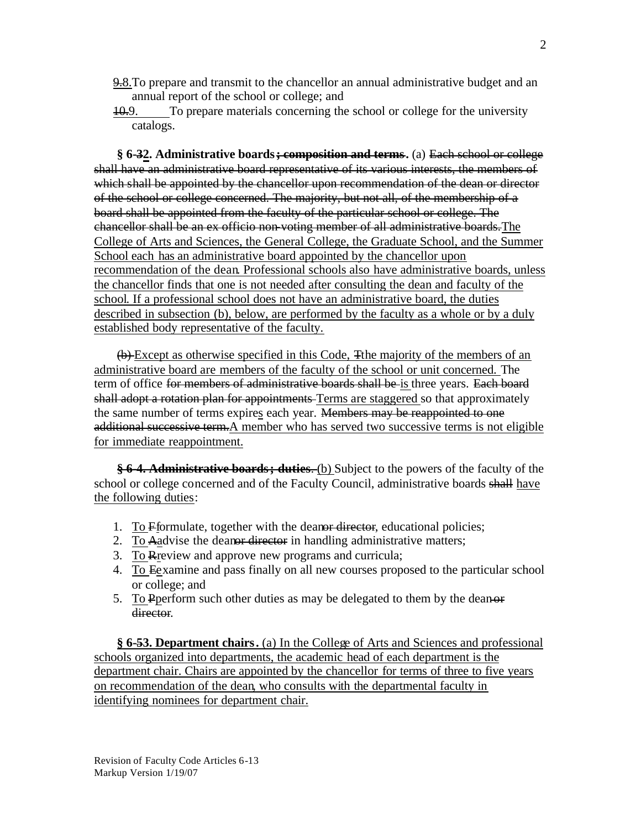- 9.8.To prepare and transmit to the chancellor an annual administrative budget and an annual report of the school or college; and
- 10.9. To prepare materials concerning the school or college for the university catalogs.

**§ 6-32. Administrative boards; composition and terms.** (a) Each school or college shall have an administrative board representative of its various interests, the members of which shall be appointed by the chancellor upon recommendation of the dean or director of the school or college concerned. The majority, but not all, of the membership of a board shall be appointed from the faculty of the particular school or college. The chancellor shall be an ex officio non-voting member of all administrative boards.The College of Arts and Sciences, the General College, the Graduate School, and the Summer School each has an administrative board appointed by the chancellor upon recommendation of the dean. Professional schools also have administrative boards, unless the chancellor finds that one is not needed after consulting the dean and faculty of the school. If a professional school does not have an administrative board, the duties described in subsection (b), below, are performed by the faculty as a whole or by a duly established body representative of the faculty.

(b) Except as otherwise specified in this Code, Tthe majority of the members of an administrative board are members of the faculty of the school or unit concerned. The term of office for members of administrative boards shall be is three years. Each board shall adopt a rotation plan for appointments Terms are staggered so that approximately the same number of terms expires each year. Members may be reappointed to one additional successive term. A member who has served two successive terms is not eligible for immediate reappointment.

**§ 6-4. Administrative boards; duties**. (b) Subject to the powers of the faculty of the school or college concerned and of the Faculty Council, administrative boards shall have the following duties:

- 1. To Fformulate, together with the deanor director, educational policies;
- 2. To Aadvise the deanor director in handling administrative matters;
- 3. To Rreview and approve new programs and curricula;
- 4. To Eexamine and pass finally on all new courses proposed to the particular school or college; and
- 5. To Pperform such other duties as may be delegated to them by the deanor director.

**§ 6-53. Department chairs.** (a) In the College of Arts and Sciences and professional schools organized into departments, the academic head of each department is the department chair. Chairs are appointed by the chancellor for terms of three to five years on recommendation of the dean, who consults with the departmental faculty in identifying nominees for department chair.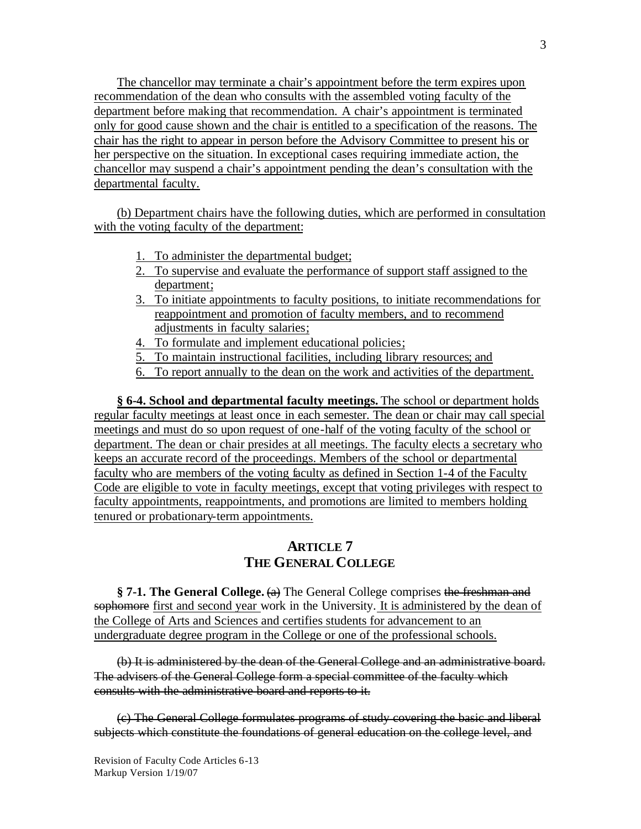The chancellor may terminate a chair's appointment before the term expires upon recommendation of the dean who consults with the assembled voting faculty of the department before making that recommendation. A chair's appointment is terminated only for good cause shown and the chair is entitled to a specification of the reasons. The chair has the right to appear in person before the Advisory Committee to present his or her perspective on the situation. In exceptional cases requiring immediate action, the chancellor may suspend a chair's appointment pending the dean's consultation with the departmental faculty.

(b) Department chairs have the following duties, which are performed in consultation with the voting faculty of the department:

- 1. To administer the departmental budget;
- 2. To supervise and evaluate the performance of support staff assigned to the department;
- 3. To initiate appointments to faculty positions, to initiate recommendations for reappointment and promotion of faculty members, and to recommend adjustments in faculty salaries;
- 4. To formulate and implement educational policies;
- 5. To maintain instructional facilities, including library resources; and
- 6. To report annually to the dean on the work and activities of the department.

**§ 6-4. School and departmental faculty meetings.** The school or department holds regular faculty meetings at least once in each semester. The dean or chair may call special meetings and must do so upon request of one-half of the voting faculty of the school or department. The dean or chair presides at all meetings. The faculty elects a secretary who keeps an accurate record of the proceedings. Members of the school or departmental faculty who are members of the voting faculty as defined in Section 1-4 of the Faculty Code are eligible to vote in faculty meetings, except that voting privileges with respect to faculty appointments, reappointments, and promotions are limited to members holding tenured or probationary-term appointments.

# **ARTICLE 7 THE GENERAL COLLEGE**

**§ 7-1. The General College.** (a) The General College comprises the freshman and sophomore first and second year work in the University. It is administered by the dean of the College of Arts and Sciences and certifies students for advancement to an undergraduate degree program in the College or one of the professional schools.

(b) It is administered by the dean of the General College and an administrative board. The advisers of the General College form a special committee of the faculty which consults with the administrative board and reports to it.

(c) The General College formulates programs of study covering the basic and liberal subjects which constitute the foundations of general education on the college level, and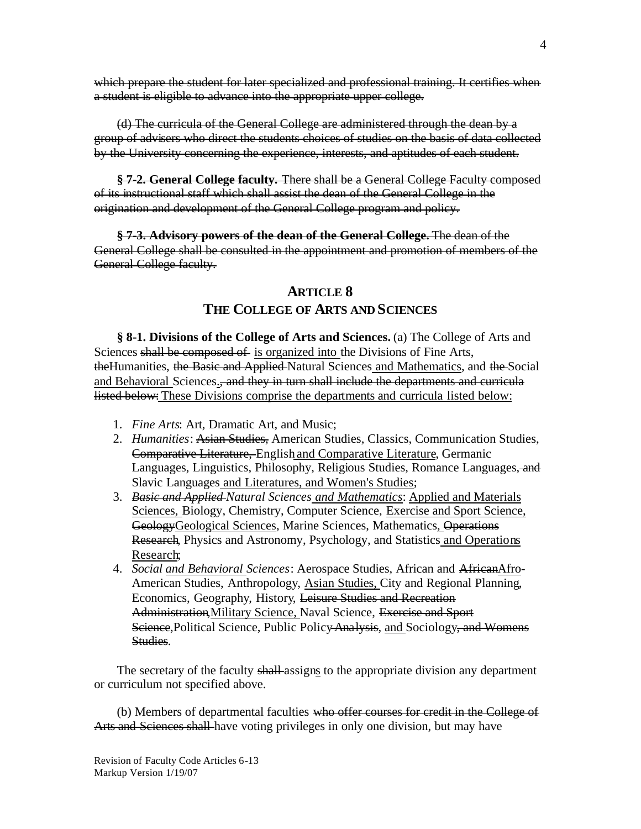which prepare the student for later specialized and professional training. It certifies when a student is eligible to advance into the appropriate upper college.

(d) The curricula of the General College are administered through the dean by a group of advisers who direct the students choices of studies on the basis of data collected by the University concerning the experience, interests, and aptitudes of each student.

**§ 7-2. General College faculty.** There shall be a General College Faculty composed of its instructional staff which shall assist the dean of the General College in the origination and development of the General College program and policy.

**§ 7-3. Advisory powers of the dean of the General College.** The dean of the General College shall be consulted in the appointment and promotion of members of the General College faculty.

# **ARTICLE 8 THE COLLEGE OF ARTS AND SCIENCES**

**§ 8-1. Divisions of the College of Arts and Sciences.** (a) The College of Arts and Sciences shall be composed of is organized into the Divisions of Fine Arts, the Humanities, the Basic and Applied Natural Sciences and Mathematics, and the Social and Behavioral Sciences., and they in turn shall include the departments and curricula listed below: These Divisions comprise the departments and curricula listed below:

- 1. *Fine Arts*: Art, Dramatic Art, and Music;
- 2. *Humanities*: Asian Studies, American Studies, Classics, Communication Studies, Comparative Literature, English and Comparative Literature, Germanic Languages, Linguistics, Philosophy, Religious Studies, Romance Languages, and Slavic Languages and Literatures, and Women's Studies;
- 3. *Basic and Applied Natural Sciences and Mathematics*: Applied and Materials Sciences, Biology, Chemistry, Computer Science, Exercise and Sport Science, GeologyGeological Sciences, Marine Sciences, Mathematics, Operations Research, Physics and Astronomy, Psychology, and Statistics and Operations Research;
- 4. *Social and Behavioral Sciences*: Aerospace Studies, African and AfricanAfro-American Studies, Anthropology, Asian Studies, City and Regional Planning, Economics, Geography, History, Leisure Studies and Recreation Administration, Military Science, Naval Science, Exercise and Sport Science, Political Science, Public Policy Analysis, and Sociology, and Womens Studies.

The secretary of the faculty shall-assigns to the appropriate division any department or curriculum not specified above.

(b) Members of departmental faculties who offer courses for credit in the College of Arts and Sciences shall have voting privileges in only one division, but may have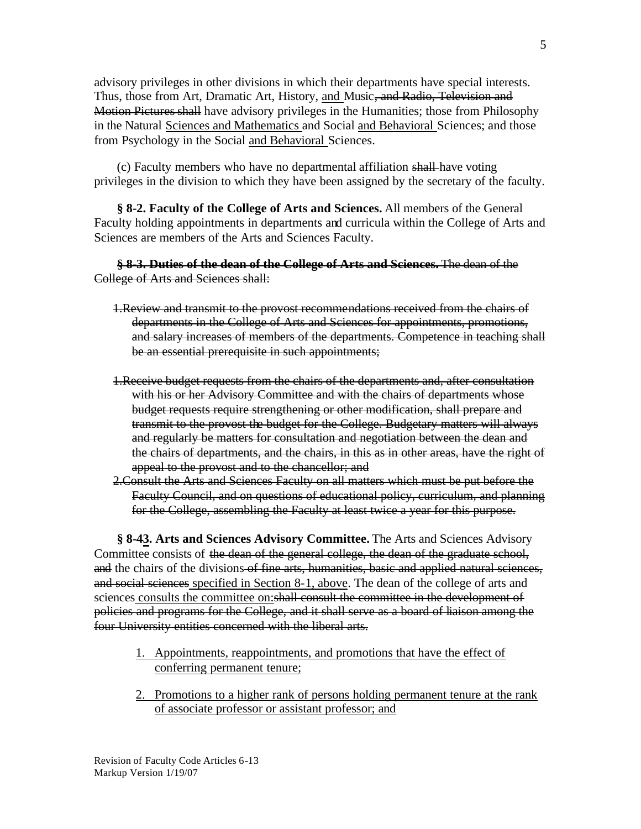advisory privileges in other divisions in which their departments have special interests. Thus, those from Art, Dramatic Art, History, and Music, and Radio, Television and Motion Pictures shall have advisory privileges in the Humanities; those from Philosophy in the Natural Sciences and Mathematics and Social and Behavioral Sciences; and those from Psychology in the Social and Behavioral Sciences.

(c) Faculty members who have no departmental affiliation shall have voting privileges in the division to which they have been assigned by the secretary of the faculty.

**§ 8-2. Faculty of the College of Arts and Sciences.** All members of the General Faculty holding appointments in departments and curricula within the College of Arts and Sciences are members of the Arts and Sciences Faculty.

#### **§ 8-3. Duties of the dean of the College of Arts and Sciences.** The dean of the College of Arts and Sciences shall:

- 1.Review and transmit to the provost recommendations received from the chairs of departments in the College of Arts and Sciences for appointments, promotions, and salary increases of members of the departments. Competence in teaching shall be an essential prerequisite in such appointments;
- 1.Receive budget requests from the chairs of the departments and, after consultation with his or her Advisory Committee and with the chairs of departments whose budget requests require strengthening or other modification, shall prepare and transmit to the provost the budget for the College. Budgetary matters will always and regularly be matters for consultation and negotiation between the dean and the chairs of departments, and the chairs, in this as in other areas, have the right of appeal to the provost and to the chancellor; and
- 2.Consult the Arts and Sciences Faculty on all matters which must be put before the Faculty Council, and on questions of educational policy, curriculum, and planning for the College, assembling the Faculty at least twice a year for this purpose.

**§ 8-43. Arts and Sciences Advisory Committee.** The Arts and Sciences Advisory Committee consists of the dean of the general college, the dean of the graduate school, and the chairs of the divisions of fine arts, humanities, basic and applied natural sciences, and social sciences specified in Section 8-1, above. The dean of the college of arts and sciences consults the committee on: shall consult the committee in the development of policies and programs for the College, and it shall serve as a board of liaison among the four University entities concerned with the liberal arts.

- 1. Appointments, reappointments, and promotions that have the effect of conferring permanent tenure;
- 2. Promotions to a higher rank of persons holding permanent tenure at the rank of associate professor or assistant professor; and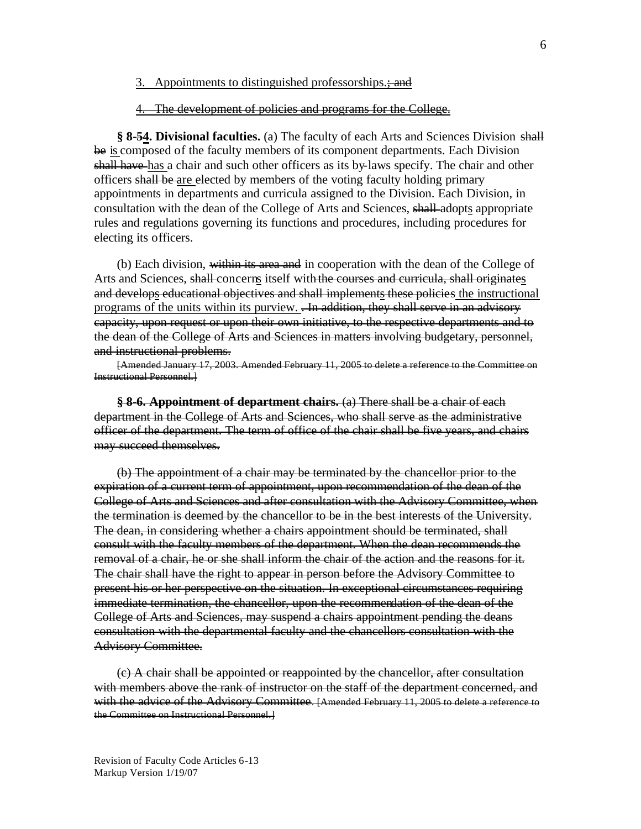#### 3. Appointments to distinguished professorships.; and

#### 4. The development of policies and programs for the College.

**§ 8-54. Divisional faculties.** (a) The faculty of each Arts and Sciences Division shall be is composed of the faculty members of its component departments. Each Division shall have has a chair and such other officers as its by-laws specify. The chair and other officers shall be are elected by members of the voting faculty holding primary appointments in departments and curricula assigned to the Division. Each Division, in consultation with the dean of the College of Arts and Sciences, shall adopts appropriate rules and regulations governing its functions and procedures, including procedures for electing its officers.

(b) Each division, within its area and in cooperation with the dean of the College of Arts and Sciences, shall-concerns itself with the courses and curricula, shall originates and develops educational objectives and shall implements these policies the instructional programs of the units within its purview. <del>In addition, they shall serve in an advisory</del> capacity, upon request or upon their own initiative, to the respective departments and to the dean of the College of Arts and Sciences in matters involving budgetary, personnel, and instructional problems.

[Amended January 17, 2003. Amended February 11, 2005 to delete a reference to the Committee on Instructional Personnel.]

**§ 8-6. Appointment of department chairs.** (a) There shall be a chair of each department in the College of Arts and Sciences, who shall serve as the administrative officer of the department. The term of office of the chair shall be five years, and chairs may succeed themselves.

(b) The appointment of a chair may be terminated by the chancellor prior to the expiration of a current term of appointment, upon recommendation of the dean of the College of Arts and Sciences and after consultation with the Advisory Committee, when the termination is deemed by the chancellor to be in the best interests of the University. The dean, in considering whether a chairs appointment should be terminated, shall consult with the faculty members of the department. When the dean recommends the removal of a chair, he or she shall inform the chair of the action and the reasons for it. The chair shall have the right to appear in person before the Advisory Committee to present his or her perspective on the situation. In exceptional circumstances requiring immediate termination, the chancellor, upon the recommendation of the dean of the College of Arts and Sciences, may suspend a chairs appointment pending the deans consultation with the departmental faculty and the chancellors consultation with the Advisory Committee.

(c) A chair shall be appointed or reappointed by the chancellor, after consultation with members above the rank of instructor on the staff of the department concerned, and with the advice of the Advisory Committee. [Amended February 11, 2005 to delete a reference to the Committee on Instructional Personnel.]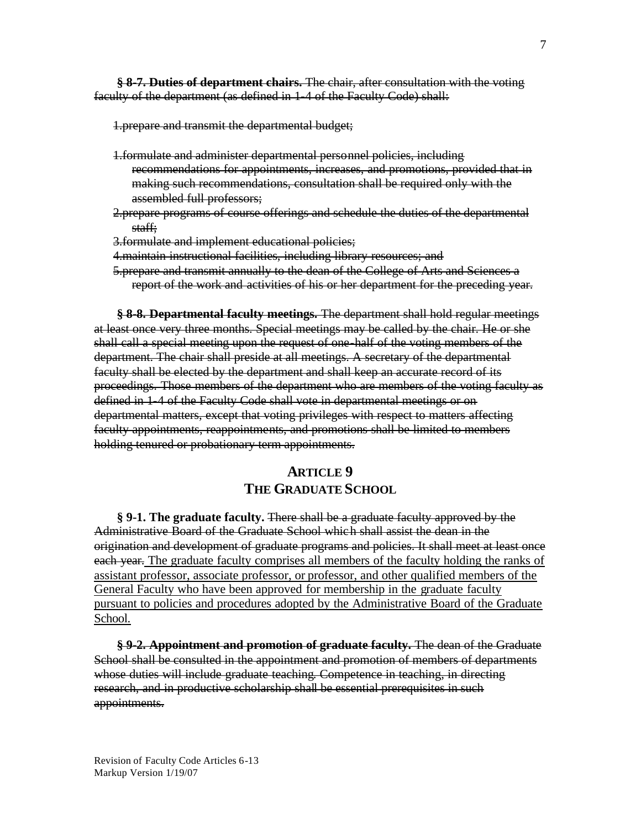**§ 8-7. Duties of department chairs.** The chair, after consultation with the voting faculty of the department (as defined in 1-4 of the Faculty Code) shall:

1.prepare and transmit the departmental budget;

- 1.formulate and administer departmental personnel policies, including recommendations for appointments, increases, and promotions, provided that in making such recommendations, consultation shall be required only with the assembled full professors;
- 2.prepare programs of course offerings and schedule the duties of the departmental staff;
- 3.formulate and implement educational policies;
- 4.maintain instructional facilities, including library resources; and
- 5.prepare and transmit annually to the dean of the College of Arts and Sciences a report of the work and activities of his or her department for the preceding year.

**§ 8-8. Departmental faculty meetings.** The department shall hold regular meetings at least once very three months. Special meetings may be called by the chair. He or she shall call a special meeting upon the request of one-half of the voting members of the department. The chair shall preside at all meetings. A secretary of the departmental faculty shall be elected by the department and shall keep an accurate record of its proceedings. Those members of the department who are members of the voting faculty as defined in 1-4 of the Faculty Code shall vote in departmental meetings or on departmental matters, except that voting privileges with respect to matters affecting faculty appointments, reappointments, and promotions shall be limited to members holding tenured or probationary term appointments.

# **ARTICLE 9 THE GRADUATE SCHOOL**

**§ 9-1. The graduate faculty.** There shall be a graduate faculty approved by the Administrative Board of the Graduate School which shall assist the dean in the origination and development of graduate programs and policies. It shall meet at least once each year. The graduate faculty comprises all members of the faculty holding the ranks of assistant professor, associate professor, or professor, and other qualified members of the General Faculty who have been approved for membership in the graduate faculty pursuant to policies and procedures adopted by the Administrative Board of the Graduate School.

**§ 9-2. Appointment and promotion of graduate faculty.** The dean of the Graduate School shall be consulted in the appointment and promotion of members of departments whose duties will include graduate teaching. Competence in teaching, in directing research, and in productive scholarship shall be essential prerequisites in such appointments.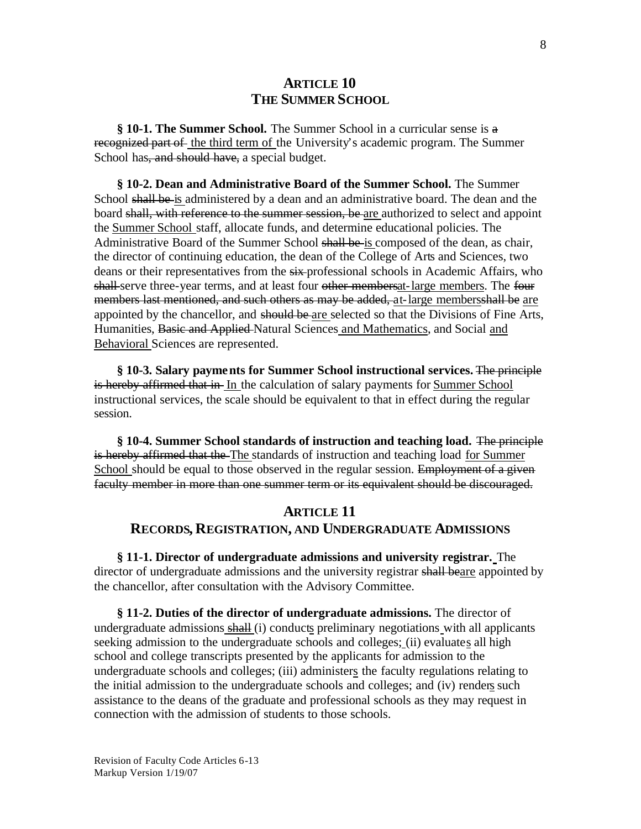## **ARTICLE 10 THE SUMMER SCHOOL**

**§ 10-1. The Summer School.** The Summer School in a curricular sense is a recognized part of the third term of the University's academic program. The Summer School has, and should have, a special budget.

**§ 10-2. Dean and Administrative Board of the Summer School.** The Summer School shall be is administered by a dean and an administrative board. The dean and the board shall, with reference to the summer session, be are authorized to select and appoint the Summer School staff, allocate funds, and determine educational policies. The Administrative Board of the Summer School shall be is composed of the dean, as chair, the director of continuing education, the dean of the College of Arts and Sciences, two deans or their representatives from the  $s$ ix-professional schools in Academic Affairs, who shall-serve three-year terms, and at least four other members at large members. The four members last mentioned, and such others as may be added, at-large membersshall be are appointed by the chancellor, and should be are selected so that the Divisions of Fine Arts, Humanities, Basic and Applied Natural Sciences and Mathematics, and Social and Behavioral Sciences are represented.

**§ 10-3. Salary payments for Summer School instructional services.** The principle is hereby affirmed that in In the calculation of salary payments for Summer School instructional services, the scale should be equivalent to that in effect during the regular session.

**§ 10-4. Summer School standards of instruction and teaching load.** The principle is hereby affirmed that the The standards of instruction and teaching load for Summer School should be equal to those observed in the regular session. Employment of a given faculty member in more than one summer term or its equivalent should be discouraged.

# **ARTICLE 11 RECORDS, REGISTRATION, AND UNDERGRADUATE ADMISSIONS**

**§ 11-1. Director of undergraduate admissions and university registrar.** The director of undergraduate admissions and the university registrar shall beare appointed by the chancellor, after consultation with the Advisory Committee.

**§ 11-2. Duties of the director of undergraduate admissions.** The director of undergraduate admissions shall (i) conducts preliminary negotiations with all applicants seeking admission to the undergraduate schools and colleges; (ii) evaluates all high school and college transcripts presented by the applicants for admission to the undergraduate schools and colleges; (iii) administers the faculty regulations relating to the initial admission to the undergraduate schools and colleges; and (iv) renders such assistance to the deans of the graduate and professional schools as they may request in connection with the admission of students to those schools.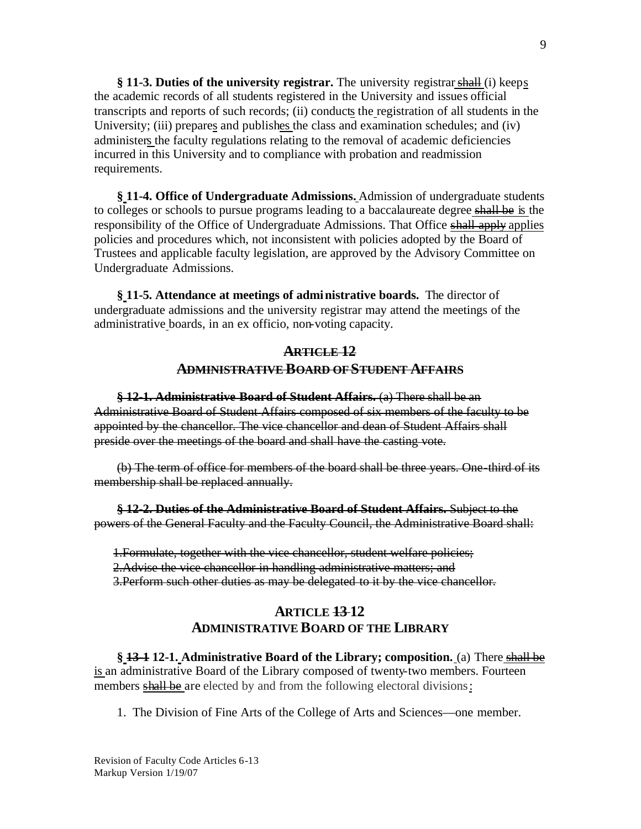**§ 11-3. Duties of the university registrar.** The university registrarshall (i) keeps the academic records of all students registered in the University and issues official transcripts and reports of such records; (ii) conducts the registration of all students in the University; (iii) prepares and publishes the class and examination schedules; and (iv) administers the faculty regulations relating to the removal of academic deficiencies incurred in this University and to compliance with probation and readmission requirements.

**§ 11-4. Office of Undergraduate Admissions.** Admission of undergraduate students to colleges or schools to pursue programs leading to a baccalaureate degree shall be is the responsibility of the Office of Undergraduate Admissions. That Office shall apply applies policies and procedures which, not inconsistent with policies adopted by the Board of Trustees and applicable faculty legislation, are approved by the Advisory Committee on Undergraduate Admissions.

**§ 11-5. Attendance at meetings of administrative boards.** The director of undergraduate admissions and the university registrar may attend the meetings of the administrative boards, in an ex officio, non-voting capacity.

## **ARTICLE 12 ADMINISTRATIVE BOARD OF STUDENT AFFAIRS**

**§ 12-1. Administrative Board of Student Affairs.** (a) There shall be an Administrative Board of Student Affairs composed of six members of the faculty to be appointed by the chancellor. The vice chancellor and dean of Student Affairs shall preside over the meetings of the board and shall have the casting vote.

(b) The term of office for members of the board shall be three years. One-third of its membership shall be replaced annually.

**§ 12-2. Duties of the Administrative Board of Student Affairs.** Subject to the powers of the General Faculty and the Faculty Council, the Administrative Board shall:

1.Formulate, together with the vice chancellor, student welfare policies; 2.Advise the vice chancellor in handling administrative matters; and 3.Perform such other duties as may be delegated to it by the vice chancellor.

## **ARTICLE 13 12 ADMINISTRATIVE BOARD OF THE LIBRARY**

**§ 13-1 12-1. Administrative Board of the Library; composition.** (a) There shall be is an administrative Board of the Library composed of twenty-two members. Fourteen members shall be are elected by and from the following electoral divisions:

1. The Division of Fine Arts of the College of Arts and Sciences—one member.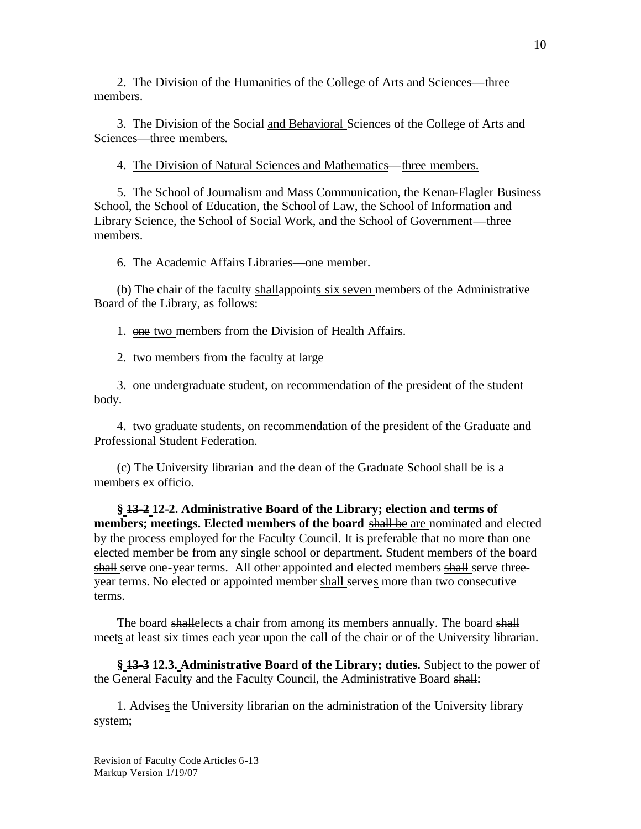2. The Division of the Humanities of the College of Arts and Sciences—three members.

3. The Division of the Social and Behavioral Sciences of the College of Arts and Sciences—three members.

4. The Division of Natural Sciences and Mathematics—three members.

5. The School of Journalism and Mass Communication, the Kenan-Flagler Business School, the School of Education, the School of Law, the School of Information and Library Science, the School of Social Work, and the School of Government—three members.

6. The Academic Affairs Libraries—one member.

(b) The chair of the faculty shallappoints six seven members of the Administrative Board of the Library, as follows:

1. one two members from the Division of Health Affairs.

2. two members from the faculty at large

3. one undergraduate student, on recommendation of the president of the student body.

4. two graduate students, on recommendation of the president of the Graduate and Professional Student Federation.

(c) The University librarian and the dean of the Graduate School shall be is a members ex officio.

**§ 13-2 12-2. Administrative Board of the Library; election and terms of members; meetings. Elected members of the board shall be** are nominated and elected by the process employed for the Faculty Council. It is preferable that no more than one elected member be from any single school or department. Student members of the board shall serve one-year terms. All other appointed and elected members shall serve threeyear terms. No elected or appointed member shall serves more than two consecutive terms.

The board shallelects a chair from among its members annually. The board shall meets at least six times each year upon the call of the chair or of the University librarian.

**§ 13-3 12.3. Administrative Board of the Library; duties.** Subject to the power of the General Faculty and the Faculty Council, the Administrative Board shall:

1. Advises the University librarian on the administration of the University library system;